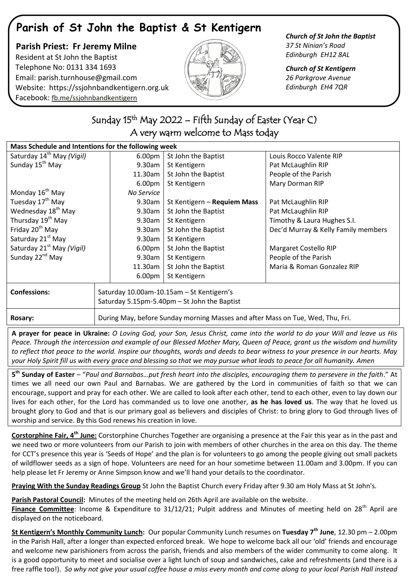# **Parish of St John the Baptist & St Kentigern**

## **Parish Priest: Fr Jeremy Milne** Resident at St John the Baptist Telephone No: 0131 334 1693 Email: [parish.turnhouse@gmail.com](mailto:parish.turnhouse@gmail.com)  Website: [https://ssjohnbandkentigern.org.uk](https://ssjohnbandkentigern.org.uk/) Facebook: [fb.me/ssjohnbandkentigern](https://fb.me/ssjohnbandkentigern)



#### *Church of St John the Baptist 37 St Ninian's Road Edinburgh EH12 8AL*

*Church of St Kentigern 26 Parkgrove Avenue Edinburgh EH4 7QR*

### ֬ .<br>. Sunday 15<sup>th</sup> May 2022 – Fifth Sunday of Easter (Year C) A very warm welcome to Mass today

| Mass Schedule and Intentions for the following week |                                                                                |                    |                             |                                     |
|-----------------------------------------------------|--------------------------------------------------------------------------------|--------------------|-----------------------------|-------------------------------------|
| Saturday 14 <sup>th</sup> May (Vigil)               |                                                                                | 6.00 <sub>pm</sub> | St John the Baptist         | Louis Rocco Valente RIP             |
| Sunday 15 <sup>th</sup> May                         |                                                                                | 9.30am             | St Kentigern                | Pat McLaughlin RIP                  |
|                                                     |                                                                                | 11.30am            | St John the Baptist         | People of the Parish                |
|                                                     |                                                                                | 6.00 <sub>pm</sub> | St Kentigern                | Mary Dorman RIP                     |
| Monday 16 <sup>th</sup> May                         |                                                                                | No Service         |                             |                                     |
| Tuesday 17 <sup>th</sup> May                        |                                                                                | 9.30am             | St Kentigern - Requiem Mass | Pat McLaughlin RIP                  |
| Wednesday 18 <sup>th</sup> May                      |                                                                                | 9.30am             | St John the Baptist         | Pat McLaughlin RIP                  |
| Thursday 19 <sup>th</sup> May                       |                                                                                | 9.30am             | St Kentigern                | Timothy & Laura Hughes S.I.         |
| Friday 20 <sup>th</sup> May                         |                                                                                | 9.30am             | St John the Baptist         | Dec'd Murray & Kelly Family members |
| Saturday 21 <sup>st</sup> May                       |                                                                                | 9.30am             | St Kentigern                |                                     |
| Saturday 21 <sup>st</sup> May (Vigil)               |                                                                                | 6.00 <sub>pm</sub> | St John the Baptist         | Margaret Costello RIP               |
| Sunday 22 <sup>nd</sup> May                         |                                                                                | 9.30am             | St Kentigern                | People of the Parish                |
|                                                     |                                                                                | 11.30am            | St John the Baptist         | Maria & Roman Gonzalez RIP          |
|                                                     |                                                                                | 6.00pm             | St Kentigern                |                                     |
| <b>Confessions:</b>                                 | Saturday 10.00am-10.15am - St Kentigern's                                      |                    |                             |                                     |
|                                                     | Saturday 5.15pm-5.40pm - St John the Baptist                                   |                    |                             |                                     |
|                                                     |                                                                                |                    |                             |                                     |
| <b>Rosary:</b>                                      | During May, before Sunday morning Masses and after Mass on Tue, Wed, Thu, Fri. |                    |                             |                                     |

**A prayer for peace in Ukraine:** *O Loving God, your Son, Jesus Christ, came into the world to do your Will and leave us His Peace. Through the intercession and example of our Blessed Mother Mary, Queen of Peace, grant us the wisdom and humility to reflect that peace to the world. Inspire our thoughts, words and deeds to bear witness to your presence in our hearts. May your Holy Spirit fill us with every grace and blessing so that we may pursue what leads to peace for all humanity. Amen*

**5 th Sunday of Easter** – "*Paul and Barnabas…put fresh heart into the disciples, encouraging them to persevere in the faith*." At times we all need our own Paul and Barnabas. We are gathered by the Lord in communities of faith so that we can encourage, support and pray for each other. We are called to look after each other, tend to each other, even to lay down our lives for each other, for the Lord has commanded us to love one another, **as he has loved us**. The way that he loved us brought glory to God and that is our primary goal as believers and disciples of Christ: to bring glory to God through lives of worship and service. By this God renews his creation in love.

**Corstorphine Fair, 4th June:** Corstorphine Churches Together are organising a presence at the Fair this year as in the past and we need two or more volunteers from our Parish to join with members of other churches in the area on this day. The theme for CCT's presence this year is 'Seeds of Hope' and the plan is for volunteers to go among the people giving out small packets of wildflower seeds as a sign of hope. Volunteers are need for an hour sometime between 11.00am and 3.00pm. If you can help please let Fr Jeremy or Anne Simpson know and we'll hand your details to the coordinator.

**Praying With the Sunday Readings Group** St John the Baptist Church every Friday after 9.30 am Holy Mass at St John's.

**Parish Pastoral Council:** Minutes of the meeting held on 26th April are available on the website.

Finance Committee: Income & Expenditure to 31/12/21; Pulpit address and Minutes of meeting held on 28<sup>th</sup> April are displayed on the noticeboard.

**St Kentigern's Monthly Community Lunch:** Our popular Community Lunch resumes on **Tuesday 7th June**, 12.30 pm – 2.00pm in the Parish Hall, after a longer than expected enforced break. We hope to welcome back all our 'old' friends and encourage and welcome new parishioners from across the parish, friends and also members of the wider community to come along. It is a good opportunity to meet and socialise over a light lunch of soup and sandwiches, cake and refreshments (and there is a free raffle too!). *So why not give your usual coffee house a miss every month and come along to your local Parish Hall instead*